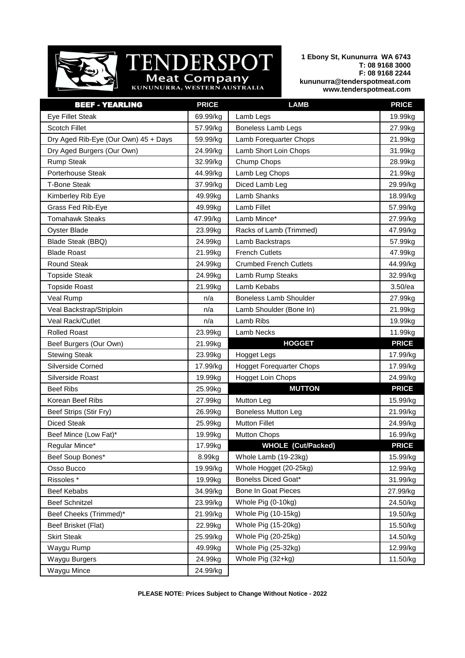

## TENDERSPOT Meat Company

**1 Ebony St, Kununurra WA 6743 T: 08 9168 3000 F: 08 9168 2244 kununurra@tenderspotmeat.com www.tenderspotmeat.com**

| <b>BEEF - YEARLING</b>               | <b>PRICE</b> | <b>LAMB</b>                     | <b>PRICE</b> |
|--------------------------------------|--------------|---------------------------------|--------------|
| <b>Eye Fillet Steak</b>              | 69.99/kg     | Lamb Legs                       | 19.99kg      |
| <b>Scotch Fillet</b>                 | 57.99/kg     | <b>Boneless Lamb Legs</b>       | 27.99kg      |
| Dry Aged Rib-Eye (Our Own) 45 + Days | 59.99/kg     | Lamb Forequarter Chops          | 21.99kg      |
| Dry Aged Burgers (Our Own)           | 24.99/kg     | Lamb Short Loin Chops           | 31.99kg      |
| <b>Rump Steak</b>                    | 32.99/kg     | Chump Chops                     | 28.99kg      |
| Porterhouse Steak                    | 44.99/kg     | Lamb Leg Chops                  | 21.99kg      |
| <b>T-Bone Steak</b>                  | 37.99/kg     | Diced Lamb Leg                  | 29.99/kg     |
| Kimberley Rib Eye                    | 49.99kg      | Lamb Shanks                     | 18.99/kg     |
| Grass Fed Rib-Eye                    | 49.99kg      | Lamb Fillet                     | 57.99/kg     |
| <b>Tomahawk Steaks</b>               | 47.99/kg     | Lamb Mince*                     | 27.99/kg     |
| <b>Oyster Blade</b>                  | 23.99kg      | Racks of Lamb (Trimmed)         | 47.99/kg     |
| Blade Steak (BBQ)                    | 24.99kg      | Lamb Backstraps                 | 57.99kg      |
| <b>Blade Roast</b>                   | 21.99kg      | <b>French Cutlets</b>           | 47.99kg      |
| <b>Round Steak</b>                   | 24.99kg      | <b>Crumbed French Cutlets</b>   | 44.99/kg     |
| <b>Topside Steak</b>                 | 24.99kg      | Lamb Rump Steaks                | 32.99/kg     |
| <b>Topside Roast</b>                 | 21.99kg      | Lamb Kebabs                     | 3.50/ea      |
| Veal Rump                            | n/a          | <b>Boneless Lamb Shoulder</b>   | 27.99kg      |
| Veal Backstrap/Striploin             | n/a          | Lamb Shoulder (Bone In)         | 21.99kg      |
| Veal Rack/Cutlet                     | n/a          | Lamb Ribs                       | 19.99kg      |
| <b>Rolled Roast</b>                  | 23.99kg      | Lamb Necks                      | 11.99kg      |
| Beef Burgers (Our Own)               | 21.99kg      | <b>HOGGET</b>                   | <b>PRICE</b> |
| <b>Stewing Steak</b>                 | 23.99kg      | Hogget Legs                     | 17.99/kg     |
| Silverside Corned                    | 17.99/kg     | <b>Hogget Forequarter Chops</b> | 17.99/kg     |
| Silverside Roast                     | 19.99kg      | <b>Hogget Loin Chops</b>        | 24.99/kg     |
| <b>Beef Ribs</b>                     | 25.99kg      | <b>MUTTON</b>                   | <b>PRICE</b> |
| Korean Beef Ribs                     | 27.99kg      | Mutton Leg                      | 15.99/kg     |
| Beef Strips (Stir Fry)               | 26.99kg      | <b>Boneless Mutton Leg</b>      | 21.99/kg     |
| <b>Diced Steak</b>                   | 25.99kg      | <b>Mutton Fillet</b>            | 24.99/kg     |
| Beef Mince (Low Fat)*                | 19.99kg      | <b>Mutton Chops</b>             | 16.99/kg     |
| Regular Mince*                       | 17.99kg      | <b>WHOLE (Cut/Packed)</b>       | <b>PRICE</b> |
| Beef Soup Bones*                     | 8.99kg       | Whole Lamb (19-23kg)            | 15.99/kg     |
| Osso Bucco                           | 19.99/kg     | Whole Hogget (20-25kg)          | 12.99/kg     |
| Rissoles*                            | 19.99kg      | <b>Bonelss Diced Goat*</b>      | 31.99/kg     |
| Beef Kebabs                          | 34.99/kg     | <b>Bone In Goat Pieces</b>      | 27.99/kg     |
| <b>Beef Schnitzel</b>                | 23.99/kg     | Whole Pig (0-10kg)              | 24.50/kg     |
| Beef Cheeks (Trimmed)*               | 21.99/kg     | Whole Pig (10-15kg)             | 19.50/kg     |
| Beef Brisket (Flat)                  | 22.99kg      | Whole Pig (15-20kg)             | 15.50/kg     |
| <b>Skirt Steak</b>                   | 25.99/kg     | Whole Pig (20-25kg)             | 14.50/kg     |
| Waygu Rump                           | 49.99kg      | Whole Pig (25-32kg)             | 12.99/kg     |
| Waygu Burgers                        | 24.99kg      | Whole Pig (32+kg)               | 11.50/kg     |
| Waygu Mince                          | 24.99/kg     |                                 |              |

**PLEASE NOTE: Prices Subject to Change Without Notice - 2022**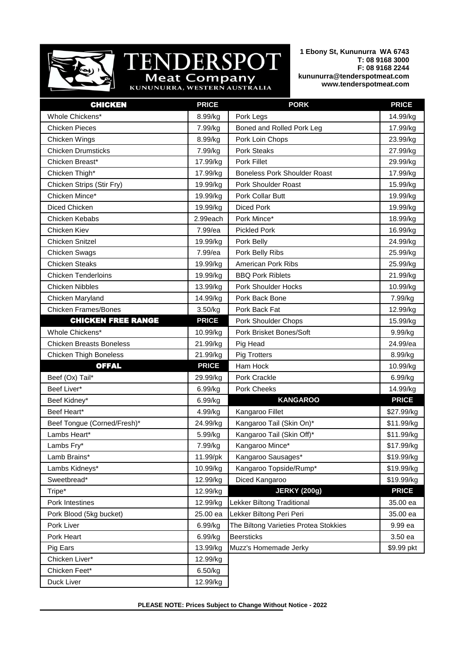

**TENDERSPOT** 

**1 Ebony St, Kununurra WA 6743 T: 08 9168 3000 F: 08 9168 2244 kununurra@tenderspotmeat.com www.tenderspotmeat.com**

| <b>CHICKEN</b>                  | <b>PRICE</b> | <b>PORK</b>                           | <b>PRICE</b> |
|---------------------------------|--------------|---------------------------------------|--------------|
| Whole Chickens*                 | 8.99/kg      | Pork Legs                             | 14.99/kg     |
| <b>Chicken Pieces</b>           | 7.99/kg      | Boned and Rolled Pork Leg             | 17.99/kg     |
| Chicken Wings                   | 8.99/kg      | Pork Loin Chops                       | 23.99/kg     |
| <b>Chicken Drumsticks</b>       | 7.99/kg      | Pork Steaks                           | 27.99/kg     |
| Chicken Breast*                 | 17.99/kg     | Pork Fillet                           | 29.99/kg     |
| Chicken Thigh*                  | 17.99/kg     | <b>Boneless Pork Shoulder Roast</b>   | 17.99/kg     |
| Chicken Strips (Stir Fry)       | 19.99/kg     | <b>Pork Shoulder Roast</b>            | 15.99/kg     |
| Chicken Mince*                  | 19.99/kg     | Pork Collar Butt                      | 19.99/kg     |
| Diced Chicken                   | 19.99/kg     | <b>Diced Pork</b>                     | 19.99/kg     |
| Chicken Kebabs                  | 2.99each     | Pork Mince*                           | 18.99/kg     |
| Chicken Kiev                    | 7.99/ea      | <b>Pickled Pork</b>                   | 16.99/kg     |
| Chicken Snitzel                 | 19.99/kg     | Pork Belly                            | 24.99/kg     |
| Chicken Swags                   | 7.99/ea      | Pork Belly Ribs                       | 25.99/kg     |
| <b>Chicken Steaks</b>           | 19.99/kg     | American Pork Ribs                    | 25.99/kg     |
| <b>Chicken Tenderloins</b>      | 19.99/kg     | <b>BBQ Pork Riblets</b>               | 21.99/kg     |
| <b>Chicken Nibbles</b>          | 13.99/kg     | <b>Pork Shoulder Hocks</b>            | 10.99/kg     |
| Chicken Maryland                | 14.99/kg     | Pork Back Bone                        | 7.99/kg      |
| <b>Chicken Frames/Bones</b>     | 3.50/kg      | Pork Back Fat                         | 12.99/kg     |
| <b>CHICKEN FREE RANGE</b>       | <b>PRICE</b> | Pork Shoulder Chops                   | 15.99/kg     |
| Whole Chickens*                 | 10.99/kg     | Pork Brisket Bones/Soft               | 9.99/kg      |
| <b>Chicken Breasts Boneless</b> | 21.99/kg     | Pig Head                              | 24.99/ea     |
| <b>Chicken Thigh Boneless</b>   | 21.99/kg     | <b>Pig Trotters</b>                   | 8.99/kg      |
| <b>OFFAL</b>                    | <b>PRICE</b> | Ham Hock                              | 10.99/kg     |
| Beef (Ox) Tail*                 | 29.99/kg     | Pork Crackle                          | 6.99/kg      |
| Beef Liver*                     | 6.99/kg      | Pork Cheeks                           | 14.99/kg     |
| Beef Kidney*                    | 6.99/kg      | <b>KANGAROO</b>                       | <b>PRICE</b> |
| Beef Heart*                     | 4.99/kg      | Kangaroo Fillet                       | \$27.99/kg   |
| Beef Tongue (Corned/Fresh)*     | 24.99/kg     | Kangaroo Tail (Skin On)*              | \$11.99/kg   |
| Lambs Heart*                    | 5.99/kg      | Kangaroo Tail (Skin Off)*             | \$11.99/kg   |
| Lambs Fry*                      | 7.99/kg      | Kangaroo Mince*                       | \$17.99/kg   |
| Lamb Brains*                    | 11.99/pk     | Kangaroo Sausages*                    | \$19.99/kg   |
| Lambs Kidneys*                  | 10.99/kg     | Kangaroo Topside/Rump*                | \$19.99/kg   |
| Sweetbread*                     | 12.99/kg     | Diced Kangaroo                        | \$19.99/kg   |
| Tripe*                          | 12.99/kg     | <b>JERKY (200g)</b>                   | <b>PRICE</b> |
| Pork Intestines                 | 12.99/kg     | Lekker Biltong Traditional            | 35.00 ea     |
| Pork Blood (5kg bucket)         | 25.00 ea     | Lekker Biltong Peri Peri              | 35.00 ea     |
| Pork Liver                      | 6.99/kg      | The Biltong Varieties Protea Stokkies | 9.99 ea      |
| Pork Heart                      | 6.99/kg      | <b>Beersticks</b>                     | 3.50 ea      |
| Pig Ears                        | 13.99/kg     | Muzz's Homemade Jerky                 | \$9.99 pkt   |
| Chicken Liver*                  | 12.99/kg     |                                       |              |
| Chicken Feet*                   | 6.50/kg      |                                       |              |
| Duck Liver                      | 12.99/kg     |                                       |              |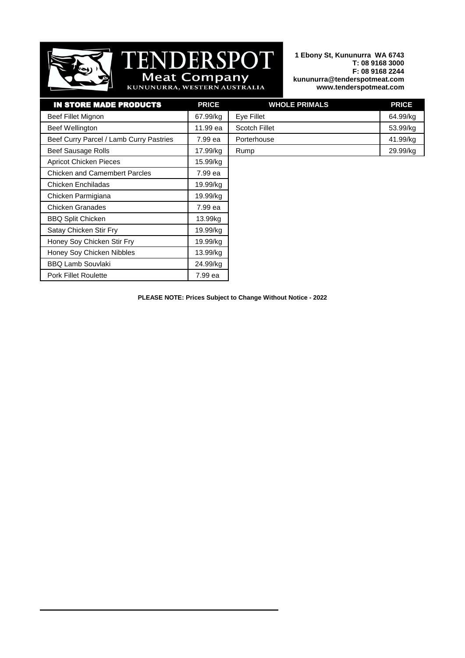

## **DERSPOT** ENI  $\overline{\phantom{a}}$ **Meat Company**<br>KUNUNURRA, WESTERN AUSTRALIA

**1 Ebony St, Kununurra WA 6743 T: 08 9168 3000 F: 08 9168 2244 kununurra@tenderspotmeat.com www.tenderspotmeat.com**

| <b>IN STORE MADE PRODUCTS</b>           | <b>PRICE</b> | <b>WHOLE PRIMALS</b> | <b>PRICE</b> |
|-----------------------------------------|--------------|----------------------|--------------|
| Beef Fillet Mignon                      | 67.99/kg     | Eye Fillet           | 64.99/kg     |
| Beef Wellington                         | 11.99 ea     | <b>Scotch Fillet</b> | 53.99/kg     |
| Beef Curry Parcel / Lamb Curry Pastries | 7.99 ea      | Porterhouse          | 41.99/kg     |
| Beef Sausage Rolls                      | 17.99/kg     | Rump                 | 29.99/kg     |
| <b>Apricot Chicken Pieces</b>           | 15.99/kg     |                      |              |
| <b>Chicken and Camembert Parcles</b>    | 7.99 ea      |                      |              |
| Chicken Enchiladas                      | 19.99/kg     |                      |              |
| Chicken Parmigiana                      | 19.99/kg     |                      |              |
| Chicken Granades                        | 7.99 ea      |                      |              |
| <b>BBQ Split Chicken</b>                | 13.99kg      |                      |              |
| Satay Chicken Stir Fry                  | 19.99/kg     |                      |              |
| Honey Soy Chicken Stir Fry              | 19.99/kg     |                      |              |
| Honey Soy Chicken Nibbles               | 13.99/kg     |                      |              |
| <b>BBQ Lamb Souvlaki</b>                | 24.99/kg     |                      |              |
| <b>Pork Fillet Roulette</b>             | 7.99 ea      |                      |              |

**PLEASE NOTE: Prices Subject to Change Without Notice - 2022**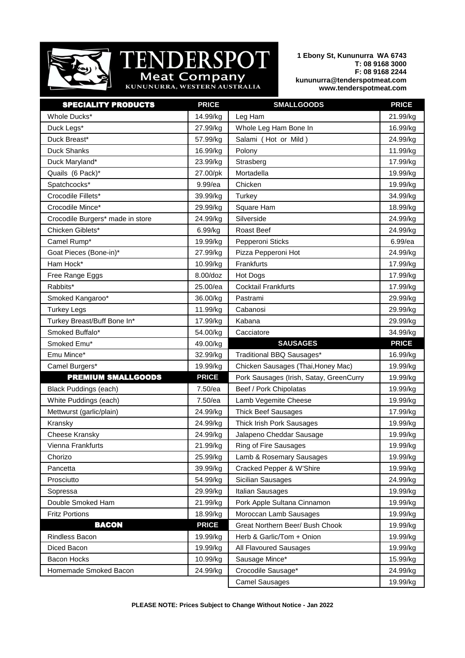

## T **DERSPOT** TENI Meat Company

**1 Ebony St, Kununurra WA 6743 T: 08 9168 3000 F: 08 9168 2244 kununurra@tenderspotmeat.com www.tenderspotmeat.com**

| <b>SPECIALITY PRODUCTS</b>       | <b>PRICE</b> | <b>SMALLGOODS</b>                       | <b>PRICE</b> |
|----------------------------------|--------------|-----------------------------------------|--------------|
| Whole Ducks*                     | 14.99/kg     | Leg Ham                                 | 21.99/kg     |
| Duck Legs*                       | 27.99/kg     | Whole Leg Ham Bone In                   | 16.99/kg     |
| Duck Breast*                     | 57.99/kg     | Salami (Hot or Mild)                    | 24.99/kg     |
| Duck Shanks                      | 16.99/kg     | Polony                                  | 11.99/kg     |
| Duck Maryland*                   | 23.99/kg     | Strasberg                               | 17.99/kg     |
| Quails (6 Pack)*                 | 27.00/pk     | Mortadella                              | 19.99/kg     |
| Spatchcocks*                     | 9.99/ea      | Chicken                                 | 19.99/kg     |
| Crocodile Fillets*               | 39.99/kg     | Turkey                                  | 34.99/kg     |
| Crocodile Mince*                 | 29.99/kg     | Square Ham                              | 18.99/kg     |
| Crocodile Burgers* made in store | 24.99/kg     | Silverside                              | 24.99/kg     |
| Chicken Giblets*                 | 6.99/kg      | Roast Beef                              | 24.99/kg     |
| Camel Rump*                      | 19.99/kg     | Pepperoni Sticks                        | 6.99/ea      |
| Goat Pieces (Bone-in)*           | 27.99/kg     | Pizza Pepperoni Hot                     | 24.99/kg     |
| Ham Hock*                        | 10.99/kg     | Frankfurts                              | 17.99/kg     |
| Free Range Eggs                  | 8.00/doz     | Hot Dogs                                | 17.99/kg     |
| Rabbits*                         | 25.00/ea     | <b>Cocktail Frankfurts</b>              | 17.99/kg     |
| Smoked Kangaroo*                 | 36.00/kg     | Pastrami                                | 29.99/kg     |
| <b>Turkey Legs</b>               | 11.99/kg     | Cabanosi                                | 29.99/kg     |
| Turkey Breast/Buff Bone In*      | 17.99/kg     | Kabana                                  | 29.99/kg     |
| Smoked Buffalo*                  | 54.00/kg     | Cacciatore                              | 34.99/kg     |
| Smoked Emu*                      | 49.00/kg     | <b>SAUSAGES</b>                         | <b>PRICE</b> |
|                                  |              |                                         |              |
| Emu Mince*                       | 32.99/kg     | Traditional BBQ Sausages*               | 16.99/kg     |
| Camel Burgers*                   | 19.99/kg     | Chicken Sausages (Thai, Honey Mac)      | 19.99/kg     |
| <b>PREMIUM SMALLGOODS</b>        | <b>PRICE</b> | Pork Sausages (Irish, Satay, GreenCurry | 19.99/kg     |
| <b>Black Puddings (each)</b>     | 7.50/ea      | Beef / Pork Chipolatas                  | 19.99/kg     |
| White Puddings (each)            | 7.50/ea      | Lamb Vegemite Cheese                    | 19.99/kg     |
| Mettwurst (garlic/plain)         | 24.99/kg     | <b>Thick Beef Sausages</b>              | 17.99/kg     |
| Kransky                          | 24.99/kg     | Thick Irish Pork Sausages               | 19.99/kg     |
| Cheese Kransky                   | 24.99/kg     | Jalapeno Cheddar Sausage                | 19.99/kg     |
| Vienna Frankfurts                | 21.99/kg     | Ring of Fire Sausages                   | 19.99/kg     |
| Chorizo                          | 25.99/kg     | Lamb & Rosemary Sausages                | 19.99/kg     |
| Pancetta                         | 39.99/kg     | Cracked Pepper & W'Shire                | 19.99/kg     |
| Prosciutto                       | 54.99/kg     | <b>Sicilian Sausages</b>                | 24.99/kg     |
| Sopressa                         | 29.99/kg     | Italian Sausages                        | 19.99/kg     |
| Double Smoked Ham                | 21.99/kg     | Pork Apple Sultana Cinnamon             | 19.99/kg     |
| <b>Fritz Portions</b>            | 18.99/kg     | Moroccan Lamb Sausages                  | 19.99/kg     |
| <b>BACON</b>                     | <b>PRICE</b> | Great Northern Beer/ Bush Chook         | 19.99/kg     |
| Rindless Bacon                   | 19.99/kg     | Herb & Garlic/Tom + Onion               | 19.99/kg     |
| Diced Bacon                      | 19.99/kg     | All Flavoured Sausages                  | 19.99/kg     |
| Bacon Hocks                      | 10.99/kg     | Sausage Mince*                          | 15.99/kg     |
| Homemade Smoked Bacon            | 24.99/kg     | Crocodile Sausage*                      | 24.99/kg     |